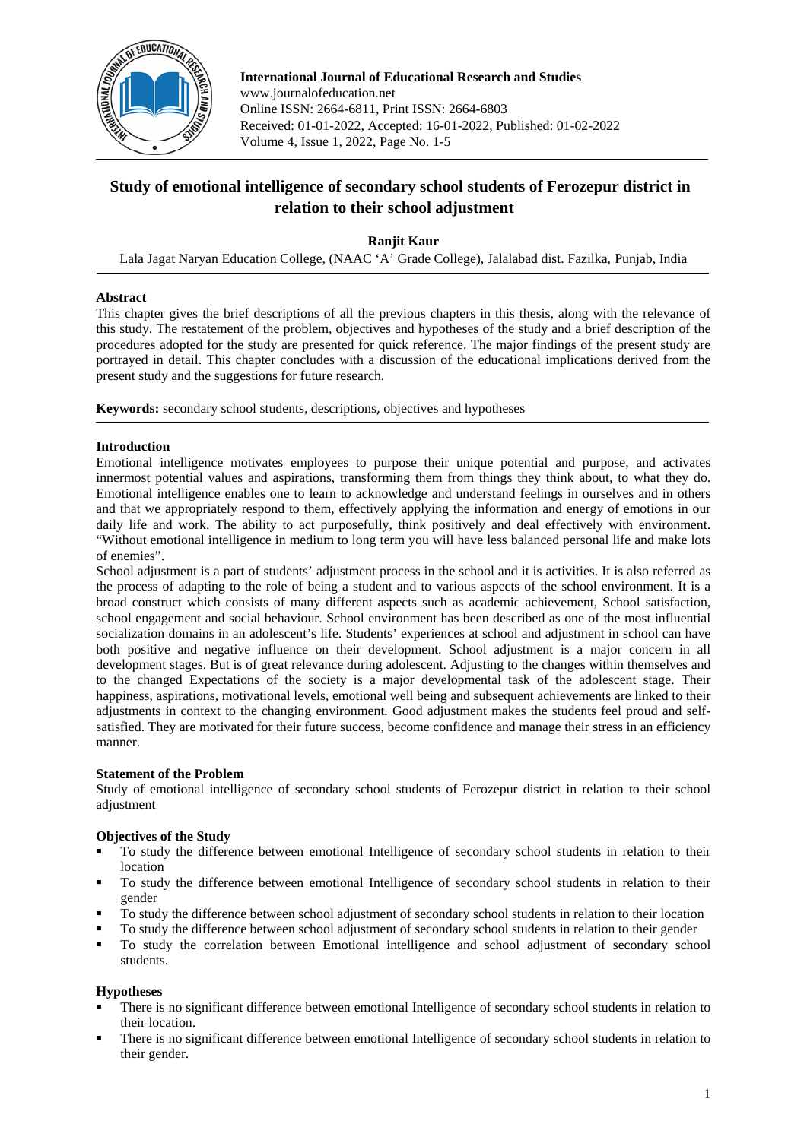

**International Journal of Educational Research and Studies** www.journalofeducation.net Online ISSN: 2664-6811, Print ISSN: 2664-6803 Received: 01-01-2022, Accepted: 16-01-2022, Published: 01-02-2022 Volume 4, Issue 1, 2022, Page No. 1-5

# **Study of emotional intelligence of secondary school students of Ferozepur district in relation to their school adjustment**

**Ranjit Kaur**

Lala Jagat Naryan Education College, (NAAC 'A' Grade College), Jalalabad dist. Fazilka, Punjab, India

# **Abstract**

This chapter gives the brief descriptions of all the previous chapters in this thesis, along with the relevance of this study. The restatement of the problem, objectives and hypotheses of the study and a brief description of the procedures adopted for the study are presented for quick reference. The major findings of the present study are portrayed in detail. This chapter concludes with a discussion of the educational implications derived from the present study and the suggestions for future research.

**Keywords:** secondary school students, descriptions, objectives and hypotheses

# **Introduction**

Emotional intelligence motivates employees to purpose their unique potential and purpose, and activates innermost potential values and aspirations, transforming them from things they think about, to what they do. Emotional intelligence enables one to learn to acknowledge and understand feelings in ourselves and in others and that we appropriately respond to them, effectively applying the information and energy of emotions in our daily life and work. The ability to act purposefully, think positively and deal effectively with environment. "Without emotional intelligence in medium to long term you will have less balanced personal life and make lots of enemies".

School adjustment is a part of students' adjustment process in the school and it is activities. It is also referred as the process of adapting to the role of being a student and to various aspects of the school environment. It is a broad construct which consists of many different aspects such as academic achievement, School satisfaction, school engagement and social behaviour. School environment has been described as one of the most influential socialization domains in an adolescent's life. Students' experiences at school and adjustment in school can have both positive and negative influence on their development. School adjustment is a major concern in all development stages. But is of great relevance during adolescent. Adjusting to the changes within themselves and to the changed Expectations of the society is a major developmental task of the adolescent stage. Their happiness, aspirations, motivational levels, emotional well being and subsequent achievements are linked to their adjustments in context to the changing environment. Good adjustment makes the students feel proud and selfsatisfied. They are motivated for their future success, become confidence and manage their stress in an efficiency manner.

# **Statement of the Problem**

Study of emotional intelligence of secondary school students of Ferozepur district in relation to their school adjustment

# **Objectives of the Study**

- To study the difference between emotional Intelligence of secondary school students in relation to their location
- To study the difference between emotional Intelligence of secondary school students in relation to their gender
- To study the difference between school adjustment of secondary school students in relation to their location
- To study the difference between school adjustment of secondary school students in relation to their gender<br>To study the correlation between Emotional intelligence and school adjustment of secondary school
- To study the correlation between Emotional intelligence and school adjustment of secondary school students.

# **Hypotheses**

- There is no significant difference between emotional Intelligence of secondary school students in relation to their location.
- There is no significant difference between emotional Intelligence of secondary school students in relation to their gender.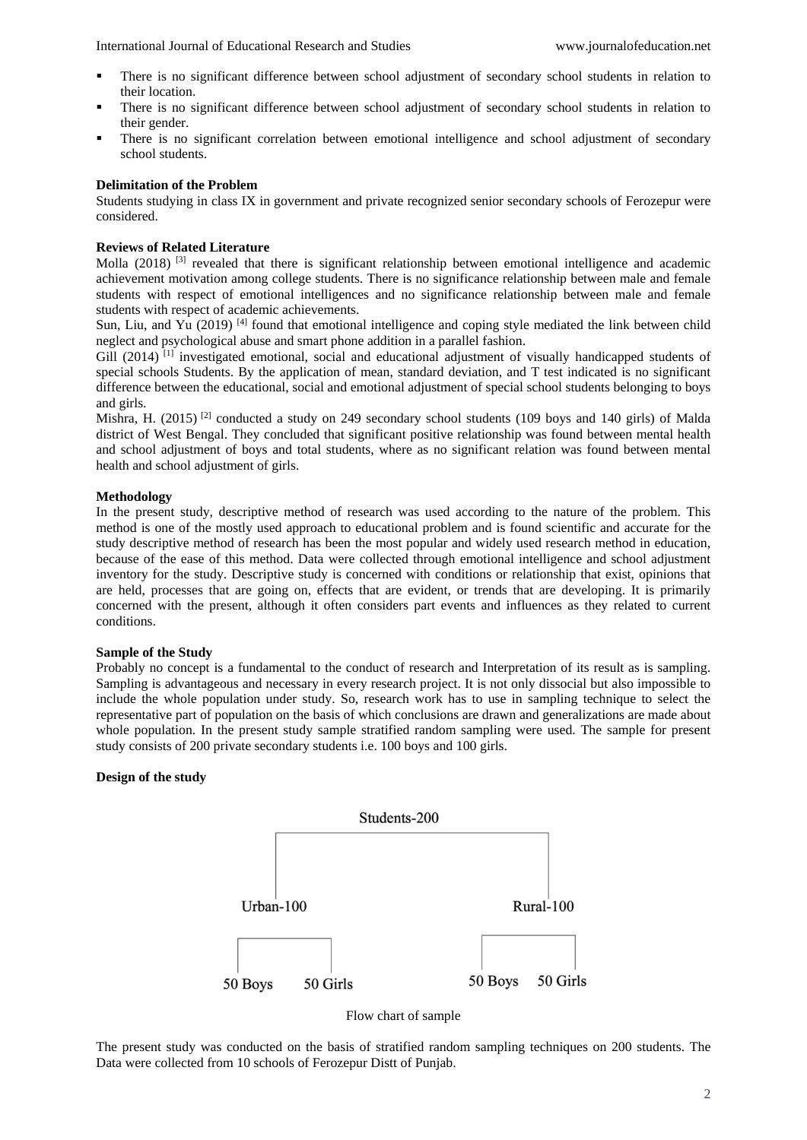International Journal of Educational Research and Studies www.journalofeducation.net

- There is no significant difference between school adjustment of secondary school students in relation to their location.
- There is no significant difference between school adjustment of secondary school students in relation to their gender.
- There is no significant correlation between emotional intelligence and school adjustment of secondary school students.

## **Delimitation of the Problem**

Students studying in class IX in government and private recognized senior secondary schools of Ferozepur were considered.

# **Reviews of Related Literature**

Molla (2018)<sup>[3]</sup> revealed that there is significant relationship between emotional intelligence and academic achievement motivation among college students. There is no significance relationship between male and female students with respect of emotional intelligences and no significance relationship between male and female students with respect of academic achievements.

Sun, Liu, and Yu (2019)<sup>[4]</sup> found that emotional intelligence and coping style mediated the link between child neglect and psychological abuse and smart phone addition in a parallel fashion.

Gill (2014)<sup>[1]</sup> investigated emotional, social and educational adjustment of visually handicapped students of special schools Students. By the application of mean, standard deviation, and T test indicated is no significant difference between the educational, social and emotional adjustment of special school students belonging to boys and girls.

Mishra, H. (2015)<sup>[2]</sup> conducted a study on 249 secondary school students (109 boys and 140 girls) of Malda district of West Bengal. They concluded that significant positive relationship was found between mental health and school adjustment of boys and total students, where as no significant relation was found between mental health and school adjustment of girls.

## **Methodology**

In the present study, descriptive method of research was used according to the nature of the problem. This method is one of the mostly used approach to educational problem and is found scientific and accurate for the study descriptive method of research has been the most popular and widely used research method in education, because of the ease of this method. Data were collected through emotional intelligence and school adjustment inventory for the study. Descriptive study is concerned with conditions or relationship that exist, opinions that are held, processes that are going on, effects that are evident, or trends that are developing. It is primarily concerned with the present, although it often considers part events and influences as they related to current conditions.

#### **Sample of the Study**

Probably no concept is a fundamental to the conduct of research and Interpretation of its result as is sampling. Sampling is advantageous and necessary in every research project. It is not only dissocial but also impossible to include the whole population under study. So, research work has to use in sampling technique to select the representative part of population on the basis of which conclusions are drawn and generalizations are made about whole population. In the present study sample stratified random sampling were used. The sample for present study consists of 200 private secondary students i.e. 100 boys and 100 girls.

# **Design of the study**



Flow chart of sample

The present study was conducted on the basis of stratified random sampling techniques on 200 students. The Data were collected from 10 schools of Ferozepur Distt of Punjab.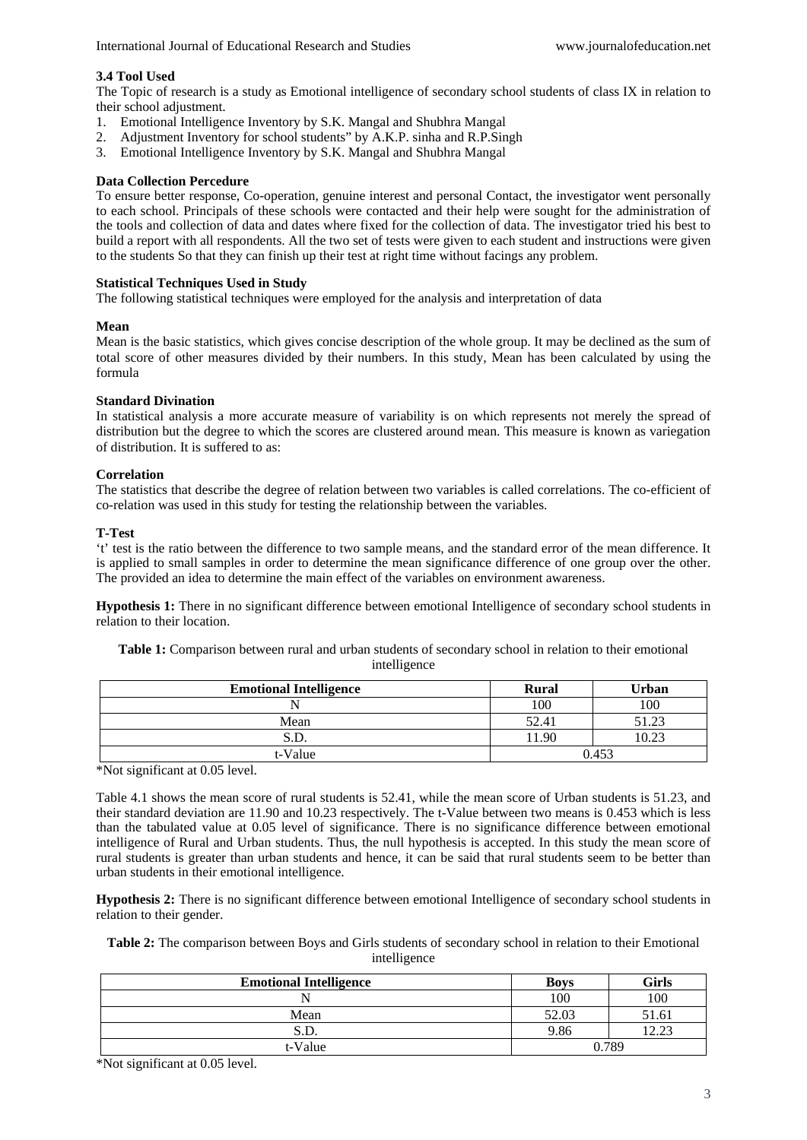# **3.4 Tool Used**

The Topic of research is a study as Emotional intelligence of secondary school students of class IX in relation to their school adjustment.

- 1. Emotional Intelligence Inventory by S.K. Mangal and Shubhra Mangal
- 2. Adjustment Inventory for school students" by A.K.P. sinha and R.P.Singh
- 3. Emotional Intelligence Inventory by S.K. Mangal and Shubhra Mangal

#### **Data Collection Percedure**

To ensure better response, Co-operation, genuine interest and personal Contact, the investigator went personally to each school. Principals of these schools were contacted and their help were sought for the administration of the tools and collection of data and dates where fixed for the collection of data. The investigator tried his best to build a report with all respondents. All the two set of tests were given to each student and instructions were given to the students So that they can finish up their test at right time without facings any problem.

#### **Statistical Techniques Used in Study**

The following statistical techniques were employed for the analysis and interpretation of data

## **Mean**

Mean is the basic statistics, which gives concise description of the whole group. It may be declined as the sum of total score of other measures divided by their numbers. In this study, Mean has been calculated by using the formula

## **Standard Divination**

In statistical analysis a more accurate measure of variability is on which represents not merely the spread of distribution but the degree to which the scores are clustered around mean. This measure is known as variegation of distribution. It is suffered to as:

## **Correlation**

The statistics that describe the degree of relation between two variables is called correlations. The co-efficient of co-relation was used in this study for testing the relationship between the variables.

## **T-Test**

't' test is the ratio between the difference to two sample means, and the standard error of the mean difference. It is applied to small samples in order to determine the mean significance difference of one group over the other. The provided an idea to determine the main effect of the variables on environment awareness.

**Hypothesis 1:** There in no significant difference between emotional Intelligence of secondary school students in relation to their location.

**Table 1:** Comparison between rural and urban students of secondary school in relation to their emotional intelligence

| <b>Emotional Intelligence</b> | <b>Rural</b> | Urban |
|-------------------------------|--------------|-------|
|                               | 100          | 100   |
| Mean                          | 52.41        | 51.23 |
| S.D.                          | 11.90        | 10.23 |
| t-Value                       | 0.453        |       |

\*Not significant at 0.05 level.

Table 4.1 shows the mean score of rural students is 52.41, while the mean score of Urban students is 51.23, and their standard deviation are 11.90 and 10.23 respectively. The t-Value between two means is 0.453 which is less than the tabulated value at 0.05 level of significance. There is no significance difference between emotional intelligence of Rural and Urban students. Thus, the null hypothesis is accepted. In this study the mean score of rural students is greater than urban students and hence, it can be said that rural students seem to be better than urban students in their emotional intelligence.

**Hypothesis 2:** There is no significant difference between emotional Intelligence of secondary school students in relation to their gender.

**Table 2:** The comparison between Boys and Girls students of secondary school in relation to their Emotional intelligence

| <b>Emotional Intelligence</b> | <b>Boys</b> | Girls |
|-------------------------------|-------------|-------|
|                               | 100         | 100   |
| Mean                          | 52.03       | 51.61 |
| S.D.                          | 9.86        |       |
| t-Value                       | 0.789       |       |

\*Not significant at 0.05 level.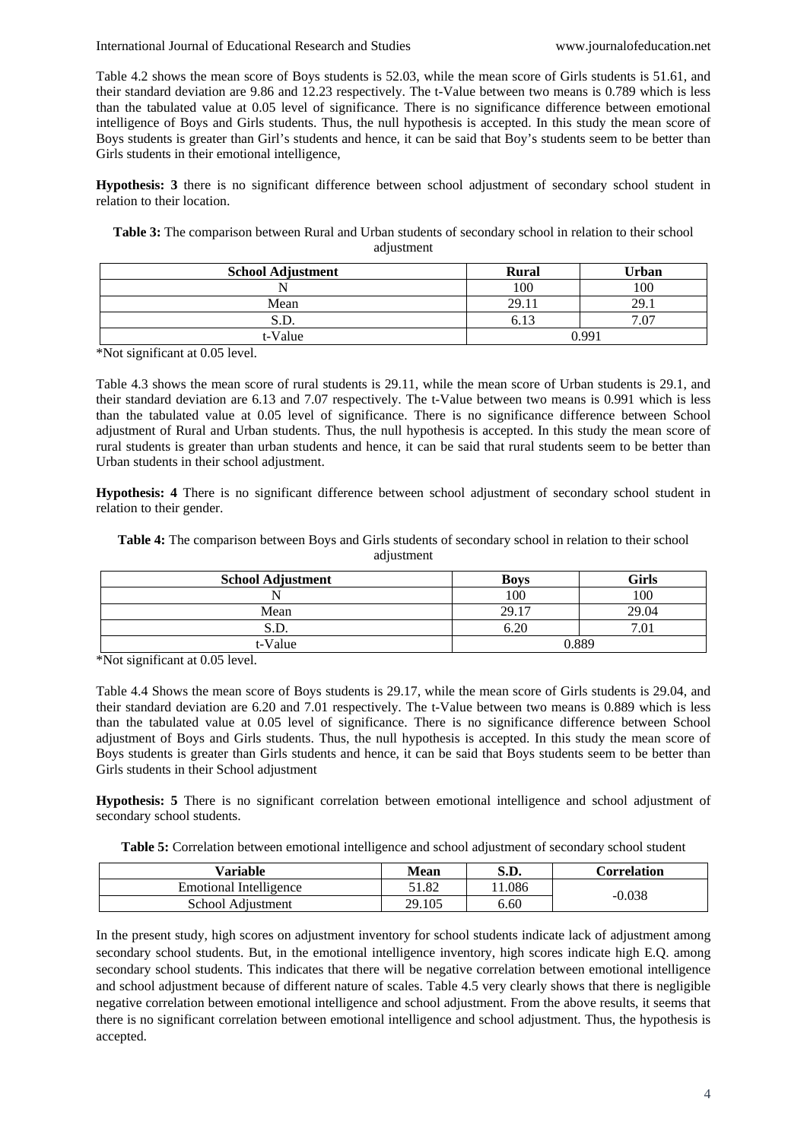International Journal of Educational Research and Studies www.journalofeducation.net

Table 4.2 shows the mean score of Boys students is 52.03, while the mean score of Girls students is 51.61, and their standard deviation are 9.86 and 12.23 respectively. The t-Value between two means is 0.789 which is less than the tabulated value at 0.05 level of significance. There is no significance difference between emotional intelligence of Boys and Girls students. Thus, the null hypothesis is accepted. In this study the mean score of Boys students is greater than Girl's students and hence, it can be said that Boy's students seem to be better than Girls students in their emotional intelligence,

**Hypothesis: 3** there is no significant difference between school adjustment of secondary school student in relation to their location.

**Table 3:** The comparison between Rural and Urban students of secondary school in relation to their school adjustment

| <b>School Adjustment</b> | <b>Rural</b> | Urban    |
|--------------------------|--------------|----------|
|                          | 100          | 100      |
| Mean                     | 29.11        | 29.1     |
| S.D.                     | 6.13         | .07<br>− |
| t-Value                  | 0.997        |          |

\*Not significant at 0.05 level.

Table 4.3 shows the mean score of rural students is 29.11, while the mean score of Urban students is 29.1, and their standard deviation are 6.13 and 7.07 respectively. The t-Value between two means is 0.991 which is less than the tabulated value at 0.05 level of significance. There is no significance difference between School adjustment of Rural and Urban students. Thus, the null hypothesis is accepted. In this study the mean score of rural students is greater than urban students and hence, it can be said that rural students seem to be better than Urban students in their school adjustment.

**Hypothesis: 4** There is no significant difference between school adjustment of secondary school student in relation to their gender.

| Table 4: The comparison between Boys and Girls students of secondary school in relation to their school |            |  |  |
|---------------------------------------------------------------------------------------------------------|------------|--|--|
|                                                                                                         | adjustment |  |  |

| <b>School Adjustment</b> | <b>Boys</b> | Girls                 |
|--------------------------|-------------|-----------------------|
|                          | 100         | 100                   |
| Mean                     | 29.17       | 29.04                 |
| S.D.                     | 6.20        | $\overline{ }$<br>.01 |
| t-Value                  | 0.889       |                       |

\*Not significant at 0.05 level.

Table 4.4 Shows the mean score of Boys students is 29.17, while the mean score of Girls students is 29.04, and their standard deviation are 6.20 and 7.01 respectively. The t-Value between two means is 0.889 which is less than the tabulated value at 0.05 level of significance. There is no significance difference between School adjustment of Boys and Girls students. Thus, the null hypothesis is accepted. In this study the mean score of Boys students is greater than Girls students and hence, it can be said that Boys students seem to be better than Girls students in their School adjustment

**Hypothesis: 5** There is no significant correlation between emotional intelligence and school adjustment of secondary school students.

**Table 5:** Correlation between emotional intelligence and school adjustment of secondary school student

| Variable                      | Mean   | S.D.  | <b>Correlation</b> |  |
|-------------------------------|--------|-------|--------------------|--|
| <b>Emotional Intelligence</b> | 51.82  | 1.086 | $-0.038$           |  |
| School Adjustment             | 29.105 | 6.60  |                    |  |

In the present study, high scores on adjustment inventory for school students indicate lack of adjustment among secondary school students. But, in the emotional intelligence inventory, high scores indicate high E.Q. among secondary school students. This indicates that there will be negative correlation between emotional intelligence and school adjustment because of different nature of scales. Table 4.5 very clearly shows that there is negligible negative correlation between emotional intelligence and school adjustment. From the above results, it seems that there is no significant correlation between emotional intelligence and school adjustment. Thus, the hypothesis is accepted.